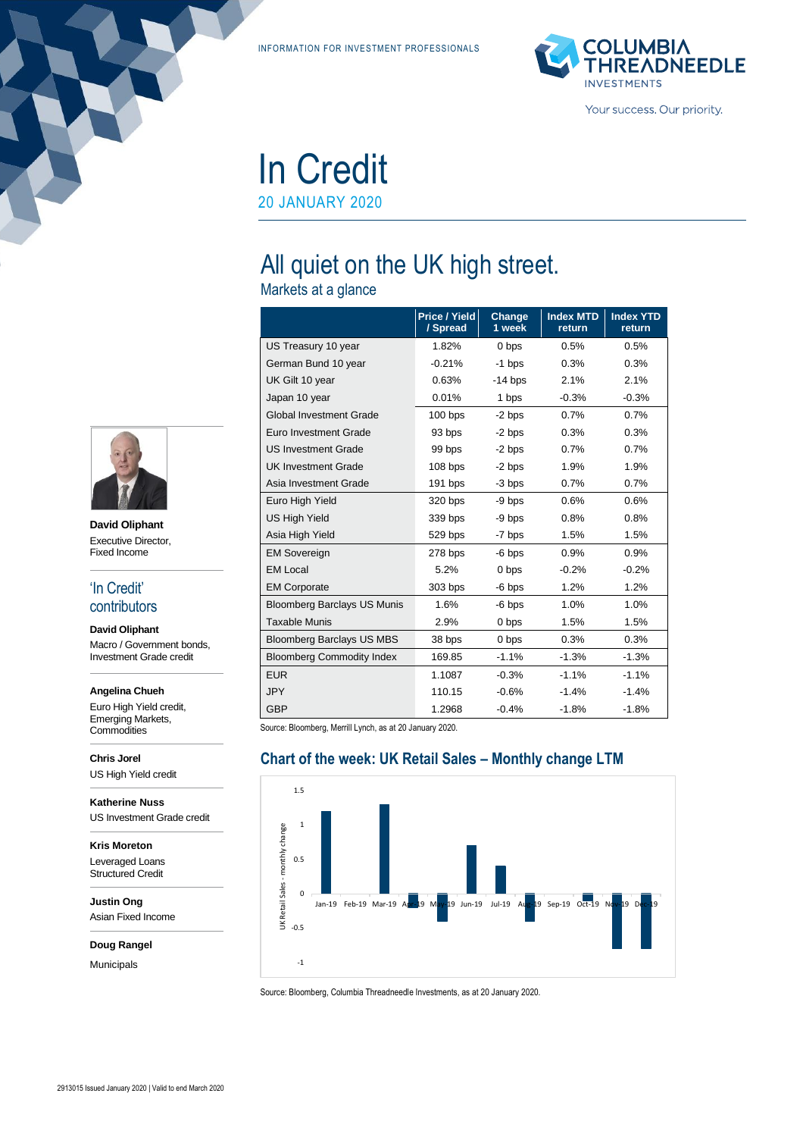INFORMATION FOR INVESTMENT PROFESSIONALS



# In Credit

20 JANUARY 2020

## All quiet on the UK high street.

Markets at a glance

|                                    | <b>Price / Yield</b><br>/ Spread | Change<br>1 week | <b>Index MTD</b><br>return | <b>Index YTD</b><br>return |
|------------------------------------|----------------------------------|------------------|----------------------------|----------------------------|
| US Treasury 10 year                | 1.82%                            | 0 bps            | 0.5%                       | 0.5%                       |
| German Bund 10 year                | $-0.21%$                         | $-1$ bps         | 0.3%                       | 0.3%                       |
| UK Gilt 10 year                    | 0.63%                            | $-14$ bps        | 2.1%                       | 2.1%                       |
| Japan 10 year                      | 0.01%                            | 1 bps            | $-0.3%$                    | $-0.3%$                    |
| <b>Global Investment Grade</b>     | $100$ bps                        | $-2$ bps         | 0.7%                       | 0.7%                       |
| Euro Investment Grade              | 93 bps                           | $-2$ bps         | 0.3%                       | 0.3%                       |
| <b>US Investment Grade</b>         | 99 bps                           | $-2$ bps         | 0.7%                       | 0.7%                       |
| <b>UK Investment Grade</b>         | $108$ bps                        | $-2$ bps         | 1.9%                       | 1.9%                       |
| Asia Investment Grade              | 191 bps                          | $-3$ bps         | 0.7%                       | 0.7%                       |
| Euro High Yield                    | 320 bps                          | -9 bps           | 0.6%                       | 0.6%                       |
| <b>US High Yield</b>               | 339 bps                          | -9 bps           | 0.8%                       | 0.8%                       |
| Asia High Yield                    | 529 bps                          | -7 bps           | 1.5%                       | 1.5%                       |
| <b>EM Sovereign</b>                | 278 bps                          | $-6$ bps         | 0.9%                       | 0.9%                       |
| <b>EM Local</b>                    | 5.2%                             | 0 bps            | $-0.2%$                    | $-0.2%$                    |
| <b>EM Corporate</b>                | 303 bps                          | -6 bps           | 1.2%                       | 1.2%                       |
| <b>Bloomberg Barclays US Munis</b> | 1.6%                             | $-6$ bps         | 1.0%                       | 1.0%                       |
| <b>Taxable Munis</b>               | 2.9%                             | 0 bps            | 1.5%                       | 1.5%                       |
| <b>Bloomberg Barclays US MBS</b>   | 38 bps                           | 0 bps            | 0.3%                       | 0.3%                       |
| <b>Bloomberg Commodity Index</b>   | 169.85                           | $-1.1%$          | $-1.3%$                    | $-1.3%$                    |
| <b>EUR</b>                         | 1.1087                           | $-0.3%$          | $-1.1%$                    | $-1.1%$                    |
| <b>JPY</b>                         | 110.15                           | $-0.6%$          | $-1.4%$                    | $-1.4%$                    |
| <b>GBP</b>                         | 1.2968                           | $-0.4%$          | $-1.8%$                    | $-1.8%$                    |

Source: Bloomberg, Merrill Lynch, as at 20 January 2020.

## **Chart of the week: UK Retail Sales – Monthly change LTM**



Source: Bloomberg, Columbia Threadneedle Investments, as at 20 January 2020.



**David Oliphant** Executive Director, Fixed Income

#### 'In Credit' contributors

#### **David Oliphant**

Macro / Government bonds, Investment Grade credit

#### **Angelina Chueh**

Euro High Yield credit, Emerging Markets, **Commodities** 

**Chris Jorel** US High Yield credit

**Katherine Nuss** US Investment Grade credit

**Kris Moreton** Leveraged Loans Structured Credit

**Justin Ong** Asian Fixed Income

**Doug Rangel**

Municipals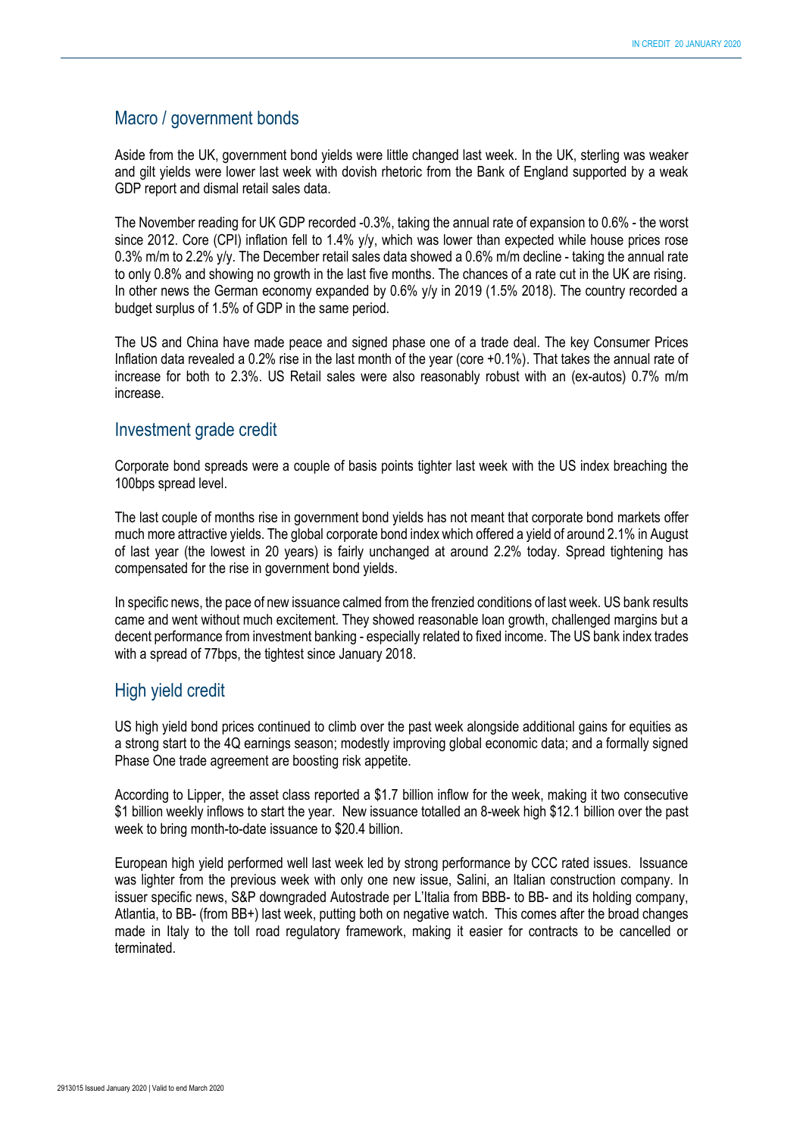#### Macro / government bonds

Aside from the UK, government bond yields were little changed last week. In the UK, sterling was weaker and gilt yields were lower last week with dovish rhetoric from the Bank of England supported by a weak GDP report and dismal retail sales data.

The November reading for UK GDP recorded -0.3%, taking the annual rate of expansion to 0.6% - the worst since 2012. Core (CPI) inflation fell to 1.4% y/y, which was lower than expected while house prices rose 0.3% m/m to 2.2% y/y. The December retail sales data showed a 0.6% m/m decline - taking the annual rate to only 0.8% and showing no growth in the last five months. The chances of a rate cut in the UK are rising. In other news the German economy expanded by 0.6% y/y in 2019 (1.5% 2018). The country recorded a budget surplus of 1.5% of GDP in the same period.

The US and China have made peace and signed phase one of a trade deal. The key Consumer Prices Inflation data revealed a 0.2% rise in the last month of the year (core +0.1%). That takes the annual rate of increase for both to 2.3%. US Retail sales were also reasonably robust with an (ex-autos) 0.7% m/m increase.

#### Investment grade credit

Corporate bond spreads were a couple of basis points tighter last week with the US index breaching the 100bps spread level.

The last couple of months rise in government bond yields has not meant that corporate bond markets offer much more attractive yields. The global corporate bond index which offered a yield of around 2.1% in August of last year (the lowest in 20 years) is fairly unchanged at around 2.2% today. Spread tightening has compensated for the rise in government bond yields.

In specific news, the pace of new issuance calmed from the frenzied conditions of last week. US bank results came and went without much excitement. They showed reasonable loan growth, challenged margins but a decent performance from investment banking - especially related to fixed income. The US bank index trades with a spread of 77bps, the tightest since January 2018.

#### High yield credit

US high yield bond prices continued to climb over the past week alongside additional gains for equities as a strong start to the 4Q earnings season; modestly improving global economic data; and a formally signed Phase One trade agreement are boosting risk appetite.

According to Lipper, the asset class reported a \$1.7 billion inflow for the week, making it two consecutive \$1 billion weekly inflows to start the year. New issuance totalled an 8-week high \$12.1 billion over the past week to bring month-to-date issuance to \$20.4 billion.

European high yield performed well last week led by strong performance by CCC rated issues. Issuance was lighter from the previous week with only one new issue, Salini, an Italian construction company. In issuer specific news, S&P downgraded Autostrade per L'Italia from BBB- to BB- and its holding company, Atlantia, to BB- (from BB+) last week, putting both on negative watch. This comes after the broad changes made in Italy to the toll road regulatory framework, making it easier for contracts to be cancelled or terminated.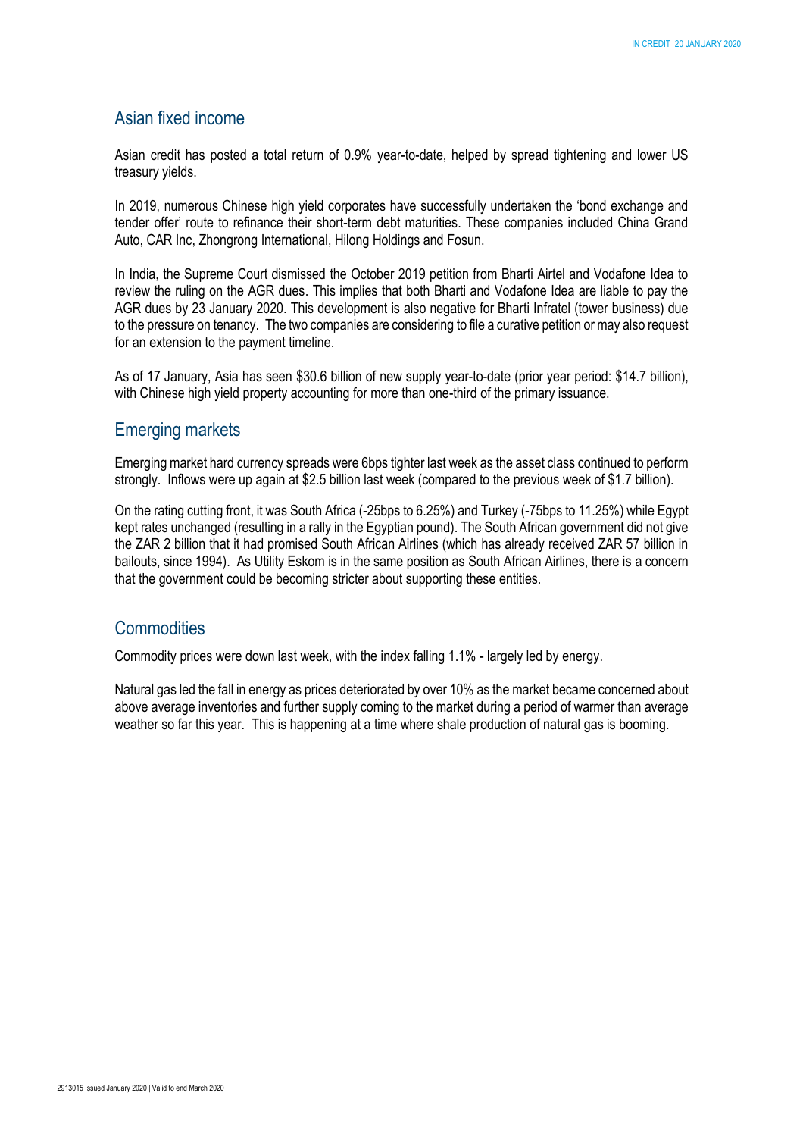#### Asian fixed income

Asian credit has posted a total return of 0.9% year-to-date, helped by spread tightening and lower US treasury yields.

In 2019, numerous Chinese high yield corporates have successfully undertaken the 'bond exchange and tender offer' route to refinance their short-term debt maturities. These companies included China Grand Auto, CAR Inc, Zhongrong International, Hilong Holdings and Fosun.

In India, the Supreme Court dismissed the October 2019 petition from Bharti Airtel and Vodafone Idea to review the ruling on the AGR dues. This implies that both Bharti and Vodafone Idea are liable to pay the AGR dues by 23 January 2020. This development is also negative for Bharti Infratel (tower business) due to the pressure on tenancy. The two companies are considering to file a curative petition or may also request for an extension to the payment timeline.

As of 17 January, Asia has seen \$30.6 billion of new supply year-to-date (prior year period: \$14.7 billion), with Chinese high yield property accounting for more than one-third of the primary issuance.

#### Emerging markets

Emerging market hard currency spreads were 6bps tighter last week as the asset class continued to perform strongly. Inflows were up again at \$2.5 billion last week (compared to the previous week of \$1.7 billion).

On the rating cutting front, it was South Africa (-25bps to 6.25%) and Turkey (-75bps to 11.25%) while Egypt kept rates unchanged (resulting in a rally in the Egyptian pound). The South African government did not give the ZAR 2 billion that it had promised South African Airlines (which has already received ZAR 57 billion in bailouts, since 1994). As Utility Eskom is in the same position as South African Airlines, there is a concern that the government could be becoming stricter about supporting these entities.

#### **Commodities**

Commodity prices were down last week, with the index falling 1.1% - largely led by energy.

Natural gas led the fall in energy as prices deteriorated by over 10% as the market became concerned about above average inventories and further supply coming to the market during a period of warmer than average weather so far this year. This is happening at a time where shale production of natural gas is booming.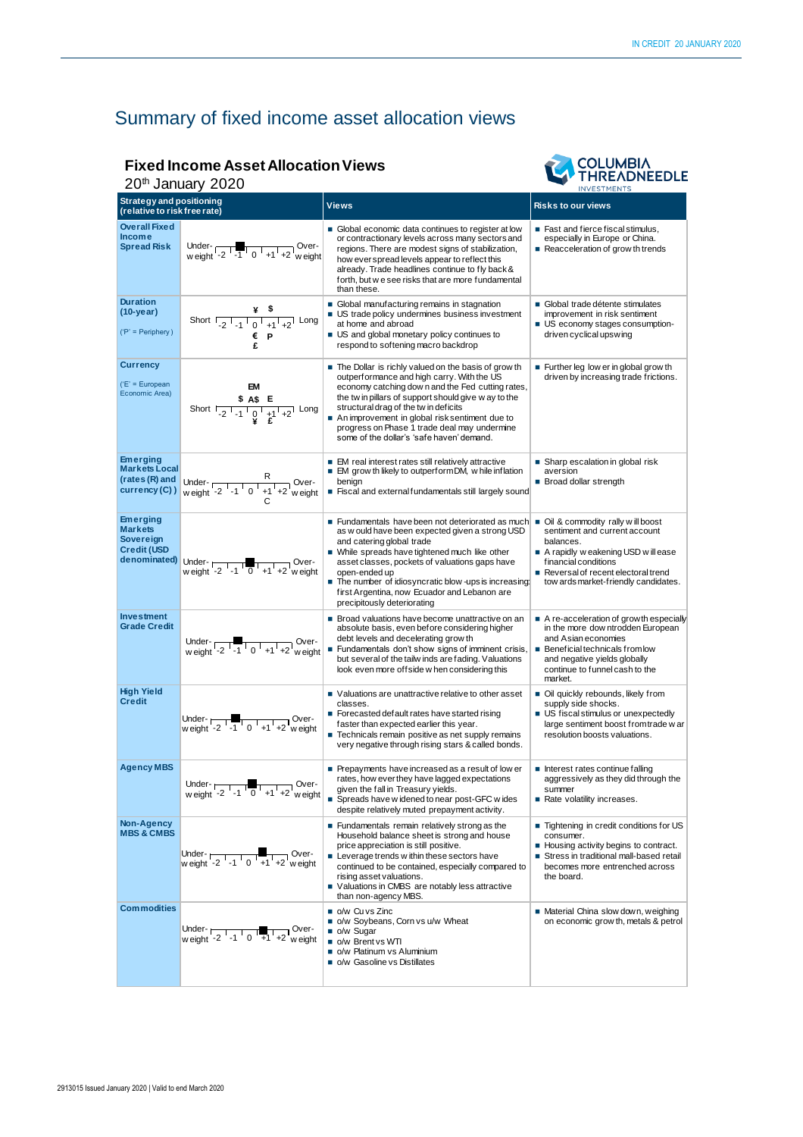### Summary of fixed income asset allocation views

#### **Fixed Income Asset Allocation Views**



| 20 <sup>th</sup> January 2020<br>'''''''''<br><b>INVESTMENTS</b>                     |                                                                                                                   |                                                                                                                                                                                                                                                                                                                                                                                                     |                                                                                                                                                                                                                                 |  |  |
|--------------------------------------------------------------------------------------|-------------------------------------------------------------------------------------------------------------------|-----------------------------------------------------------------------------------------------------------------------------------------------------------------------------------------------------------------------------------------------------------------------------------------------------------------------------------------------------------------------------------------------------|---------------------------------------------------------------------------------------------------------------------------------------------------------------------------------------------------------------------------------|--|--|
| Strategy and positioning<br>(relative to risk free rate)                             |                                                                                                                   | <b>Views</b>                                                                                                                                                                                                                                                                                                                                                                                        | <b>Risks to our views</b>                                                                                                                                                                                                       |  |  |
| <b>Overall Fixed</b><br><b>Income</b><br><b>Spread Risk</b>                          | Under- $\frac{1}{100}$ Under-<br>weight -2 -1 0 +1 +2 weight                                                      | Global economic data continues to register at low<br>or contractionary levels across many sectors and<br>regions. There are modest signs of stabilization,<br>how ever spread levels appear to reflect this<br>already. Trade headlines continue to fly back &<br>forth, but we see risks that are more fundamental<br>than these.                                                                  | Fast and fierce fiscal stimulus,<br>especially in Europe or China.<br>Reacceleration of grow th trends                                                                                                                          |  |  |
| <b>Duration</b><br>$(10$ -year)<br>$('P' = Periphery)$                               | Short $\frac{1}{2}$ -1 $\frac{1}{0}$ +1 +2 Long<br>€ P<br>£                                                       | Global manufacturing remains in stagnation<br>US trade policy undermines business investment<br>at home and abroad<br>■ US and global monetary policy continues to<br>respond to softening macro backdrop                                                                                                                                                                                           | Global trade détente stimulates<br>improvement in risk sentiment<br>■ US economy stages consumption-<br>driven cyclical upswing                                                                                                 |  |  |
| Currency<br>('E' = European<br>Economic Area)                                        | EM<br>Short $\frac{$ A$ \tImes \tImes}{{-2 \atop 4} 1 - 1 \atop 4} \frac{1}{2} + \frac{1}{2}$ Long                | The Dollar is richly valued on the basis of grow th<br>outperformance and high carry. With the US<br>economy catching down and the Fed cutting rates,<br>the twin pillars of support should give way to the<br>structural drag of the tw in deficits<br>An improvement in global risk sentiment due to<br>progress on Phase 1 trade deal may undermine<br>some of the dollar's 'safe haven' demand. | ■ Further leg low er in global grow th<br>driven by increasing trade frictions.                                                                                                                                                 |  |  |
| <b>Emerging</b><br><b>Markets Local</b><br>$(rates(R)$ and<br>currency(C))           | Under-<br>weight $\frac{R}{\sqrt{2^{1}-1} \cdot 0^{1}+1^{1}+2}$ weight                                            | ■ EM real interest rates still relatively attractive<br>■ EM grow th likely to outperform DM, w hile inflation<br>benign<br>■ Fiscal and external fundamentals still largely sound                                                                                                                                                                                                                  | ■ Sharp escalation in global risk<br>aversion<br>■ Broad dollar strength                                                                                                                                                        |  |  |
| <b>Emerging</b><br><b>Markets</b><br>Sovereign<br><b>Credit (USD</b><br>denominated) | Under- $\frac{1}{12}$ -1 $\frac{1}{0}$ +1 +2 weight                                                               | ■ Fundamentals have been not deteriorated as much<br>as w ould have been expected given a strong USD<br>and catering global trade<br>While spreads have tightened much like other<br>asset classes, pockets of valuations gaps have<br>open-ended up<br>×.<br>The number of idiosyncratic blow-ups is increasing.<br>first Argentina, now Ecuador and Lebanon are<br>precipitously deteriorating    | Oil & commodity rally will boost<br>×<br>sentiment and current account<br>balances.<br>A rapidly w eakening USD will ease<br>financial conditions<br>Reversal of recent electoral trend<br>tow ards market-friendly candidates. |  |  |
| Investment<br><b>Grade Credit</b>                                                    | Under- $\frac{1}{100}$ +1 +2 weight                                                                               | ■ Broad valuations have become unattractive on an<br>absolute basis, even before considering higher<br>debt levels and decelerating grow th<br>Fundamentals don't show signs of imminent crisis,<br>but several of the tailw inds are fading. Valuations<br>look even more offside w hen considering this                                                                                           | A re-acceleration of growth especially<br>in the more dow ntrodden European<br>and Asian economies<br><b>Beneficial technicals from low</b><br>and negative yields globally<br>continue to funnel cash to the<br>market.        |  |  |
| <b>High Yield</b><br><b>Credit</b>                                                   | Under- $\frac{1}{2}$ -1 0 +1 +2 weight                                                                            | ■ Valuations are unattractive relative to other asset<br>classes.<br>■ Forecasted default rates have started rising<br>faster than expected earlier this year.<br>Technicals remain positive as net supply remains<br>very negative through rising stars & called bonds.                                                                                                                            | ■ Oil quickly rebounds, likely from<br>supply side shocks.<br><b>US</b> fiscal stimulus or unexpectedly<br>large sentiment boost fromtrade w ar<br>resolution boosts valuations.                                                |  |  |
| <b>Agency MBS</b>                                                                    | Under- $\frac{1}{2}$ -1 0 +1 +2 weight                                                                            | Prepayments have increased as a result of low er<br>rates, how ever they have lagged expectations<br>given the fall in Treasury yields.<br>Spreads have w idened to near post-GFC w ides<br>despite relatively muted prepayment activity.                                                                                                                                                           | Interest rates continue falling<br>aggressively as they did through the<br>summer<br>Rate volatility increases.                                                                                                                 |  |  |
| Non-Agency<br><b>MBS &amp; CMBS</b>                                                  | Under- $\begin{array}{ c c c c c }\n\hline\n\text{w eight} & -2 & -1 & 0 & +1 & +2 \\ \hline\n\end{array}$ weight | $\blacksquare$ Fundamentals remain relatively strong as the<br>Household balance sheet is strong and house<br>price appreciation is still positive.<br>Leverage trends within these sectors have<br>continued to be contained, especially compared to<br>rising asset valuations.<br>■ Valuations in CMBS are notably less attractive<br>than non-agency MBS.                                       | ■ Tightening in credit conditions for US<br>consumer.<br>■ Housing activity begins to contract.<br>Stress in traditional mall-based retail<br>becomes more entrenched across<br>the board.                                      |  |  |
| <b>Commodities</b>                                                                   | Under- $\sqrt{\frac{1}{1 + 1 + 2}}$ Over-<br>weight -2 -1 0 +1 +2 weight                                          | o/w Cu vs Zinc<br>o/w Soybeans, Corn vs u/w Wheat<br>■ o/w Sugar<br>o/w Brent vs WTI<br>o/w Platinum vs Aluminium<br>o/w Gasoline vs Distillates                                                                                                                                                                                                                                                    | ■ Material China slow down, weighing<br>on economic grow th, metals & petrol                                                                                                                                                    |  |  |